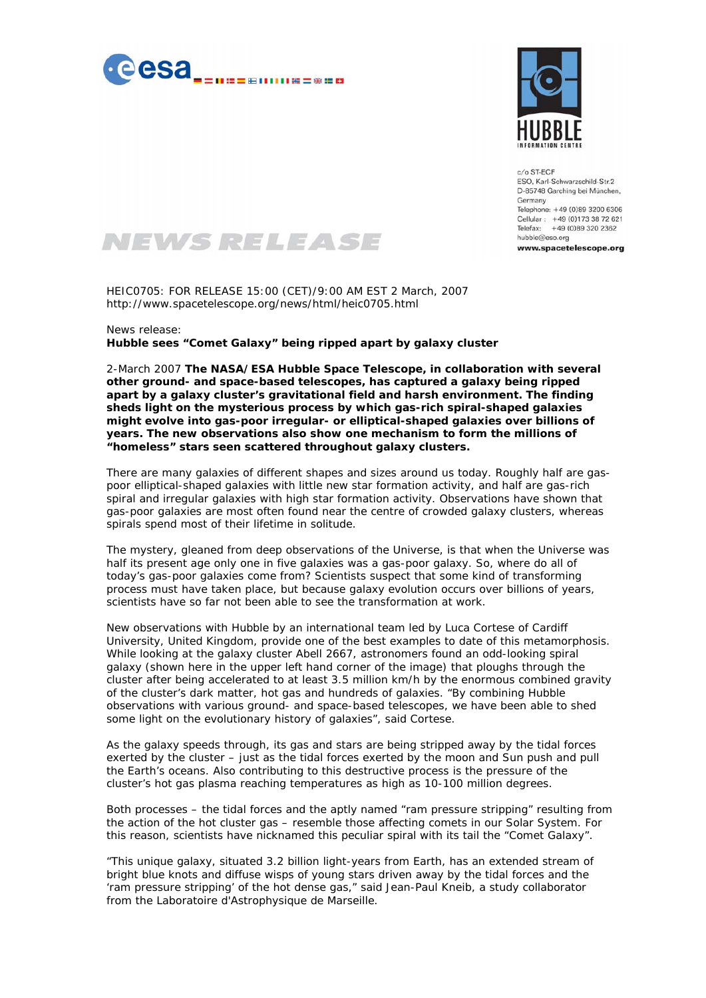



 $c/o$  ST-ECF FSO, Karl-Schwarzschild-Str2 D-85748 Garching bei München, Germany Telephone: +49 (0)89 3200 6306 Cellular: +49 (0)173 38 72 621 Telefax: +49 (0)89 320 2362 hubble@eso.org

www.spacetelescope.org

## NEWS RELEASE

HEIC0705: FOR RELEASE 15:00 (CET)/9:00 AM EST 2 March, 2007 http://www.spacetelescope.org/news/html/heic0705.html

## News release: **Hubble sees "Comet Galaxy" being ripped apart by galaxy cluster**

2-March 2007 **The NASA/ESA Hubble Space Telescope, in collaboration with several other ground- and space-based telescopes, has captured a galaxy being ripped apart by a galaxy cluster's gravitational field and harsh environment. The finding sheds light on the mysterious process by which gas-rich spiral-shaped galaxies might evolve into gas-poor irregular- or elliptical-shaped galaxies over billions of years. The new observations also show one mechanism to form the millions of "homeless" stars seen scattered throughout galaxy clusters.** 

There are many galaxies of different shapes and sizes around us today. Roughly half are gaspoor elliptical-shaped galaxies with little new star formation activity, and half are gas-rich spiral and irregular galaxies with high star formation activity. Observations have shown that gas-poor galaxies are most often found near the centre of crowded galaxy clusters, whereas spirals spend most of their lifetime in solitude.

The mystery, gleaned from deep observations of the Universe, is that when the Universe was half its present age only one in five galaxies was a gas-poor galaxy. So, where do all of today's gas-poor galaxies come from? Scientists suspect that some kind of transforming process must have taken place, but because galaxy evolution occurs over billions of years, scientists have so far not been able to see the transformation at work.

New observations with Hubble by an international team led by Luca Cortese of Cardiff University, United Kingdom, provide one of the best examples to date of this metamorphosis. While looking at the galaxy cluster Abell 2667, astronomers found an odd-looking spiral galaxy (shown here in the upper left hand corner of the image) that ploughs through the cluster after being accelerated to at least 3.5 million km/h by the enormous combined gravity of the cluster's dark matter, hot gas and hundreds of galaxies. "*By combining Hubble observations with various ground- and space-based telescopes, we have been able to shed some light on the evolutionary history of galaxies*", said Cortese.

As the galaxy speeds through, its gas and stars are being stripped away by the tidal forces exerted by the cluster – just as the tidal forces exerted by the moon and Sun push and pull the Earth's oceans. Also contributing to this destructive process is the pressure of the cluster's hot gas plasma reaching temperatures as high as 10-100 million degrees.

Both processes – the tidal forces and the aptly named "ram pressure stripping" resulting from the action of the hot cluster gas – resemble those affecting comets in our Solar System. For this reason, scientists have nicknamed this peculiar spiral with its tail the "Comet Galaxy".

"*This unique galaxy, situated 3.2 billion light-years from Earth, has an extended stream of bright blue knots and diffuse wisps of young stars driven away by the tidal forces and the 'ram pressure stripping' of the hot dense gas,*" said Jean-Paul Kneib, a study collaborator from the Laboratoire d'Astrophysique de Marseille.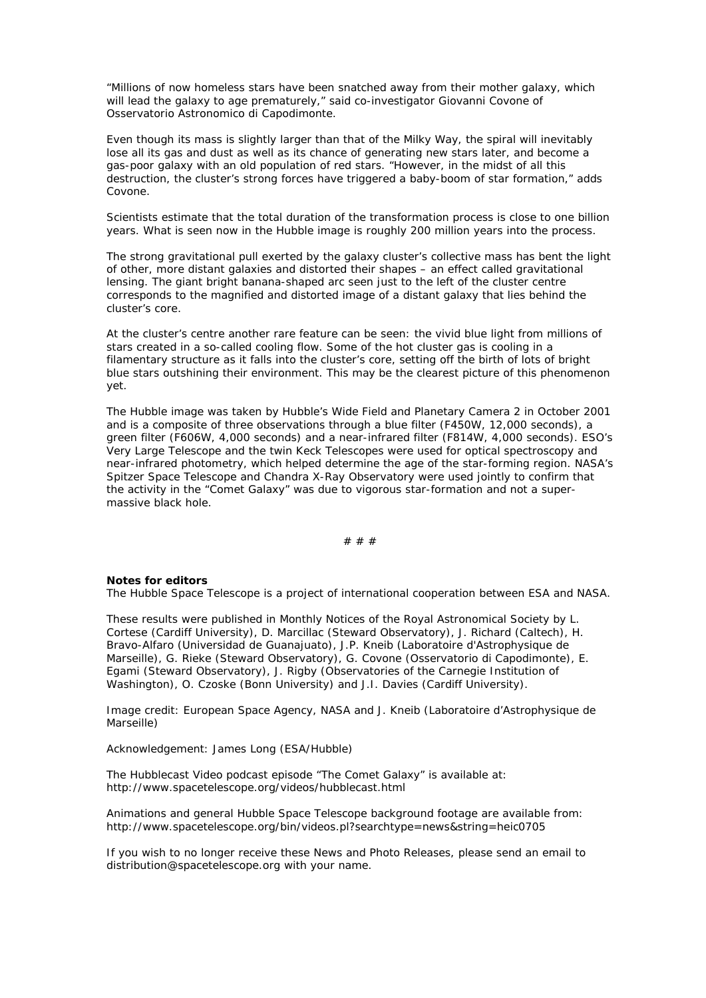"*Millions of now homeless stars have been snatched away from their mother galaxy, which will lead the galaxy to age prematurely,*" said co-investigator Giovanni Covone of Osservatorio Astronomico di Capodimonte.

Even though its mass is slightly larger than that of the Milky Way, the spiral will inevitably lose all its gas and dust as well as its chance of generating new stars later, and become a gas-poor galaxy with an old population of red stars. "*However, in the midst of all this destruction, the cluster's strong forces have triggered a baby-boom of star formation,*" adds Covone.

Scientists estimate that the total duration of the transformation process is close to one billion years. What is seen now in the Hubble image is roughly 200 million years into the process.

The strong gravitational pull exerted by the galaxy cluster's collective mass has bent the light of other, more distant galaxies and distorted their shapes – an effect called gravitational lensing. The giant bright banana-shaped arc seen just to the left of the cluster centre corresponds to the magnified and distorted image of a distant galaxy that lies behind the cluster's core.

At the cluster's centre another rare feature can be seen: the vivid blue light from millions of stars created in a so-called cooling flow. Some of the hot cluster gas is cooling in a filamentary structure as it falls into the cluster's core, setting off the birth of lots of bright blue stars outshining their environment. This may be the clearest picture of this phenomenon yet.

The Hubble image was taken by Hubble's Wide Field and Planetary Camera 2 in October 2001 and is a composite of three observations through a blue filter (F450W, 12,000 seconds), a green filter (F606W, 4,000 seconds) and a near-infrared filter (F814W, 4,000 seconds). ESO's Very Large Telescope and the twin Keck Telescopes were used for optical spectroscopy and near-infrared photometry, which helped determine the age of the star-forming region. NASA's Spitzer Space Telescope and Chandra X-Ray Observatory were used jointly to confirm that the activity in the "Comet Galaxy" was due to vigorous star-formation and not a supermassive black hole.

# # #

## **Notes for editors**

The Hubble Space Telescope is a project of international cooperation between ESA and NASA.

These results were published in Monthly Notices of the Royal Astronomical Society by L. Cortese (Cardiff University), D. Marcillac (Steward Observatory), J. Richard (Caltech), H. Bravo-Alfaro (Universidad de Guanajuato), J.P. Kneib (Laboratoire d'Astrophysique de Marseille), G. Rieke (Steward Observatory), G. Covone (Osservatorio di Capodimonte), E. Egami (Steward Observatory), J. Rigby (Observatories of the Carnegie Institution of Washington), O. Czoske (Bonn University) and J.I. Davies (Cardiff University).

Image credit: European Space Agency, NASA and J. Kneib (Laboratoire d'Astrophysique de Marseille)

Acknowledgement: James Long (ESA/Hubble)

The Hubblecast Video podcast episode "The Comet Galaxy" is available at: http://www.spacetelescope.org/videos/hubblecast.html

Animations and general Hubble Space Telescope background footage are available from: http://www.spacetelescope.org/bin/videos.pl?searchtype=news&string=heic0705

If you wish to no longer receive these News and Photo Releases, please send an email to distribution@spacetelescope.org with your name.